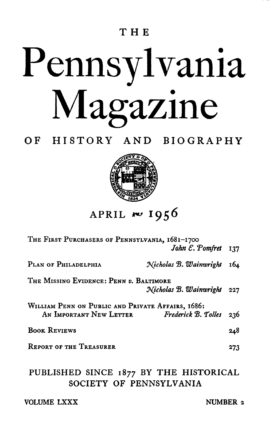### **THE**

# Pennsylvania Magazine

**OF HISTORY AND BIOGRAPHY**



**APRIL ~** *1* **9 5 6**

| THE FIRST PURCHASERS OF PENNSYLVANIA, 1681-1700   |                                  |     |
|---------------------------------------------------|----------------------------------|-----|
|                                                   | John $\mathcal{E}$ . Pomfret 137 |     |
| PLAN OF PHILADELPHIA                              | Nicholas B. Wainwright 164       |     |
| THE MISSING EVIDENCE: PENN v. BALTIMORE           |                                  |     |
|                                                   | Nicholas B. Wainwright 227       |     |
| WILLIAM PENN ON PUBLIC AND PRIVATE AFFAIRS, 1686: |                                  |     |
| AN IMPORTANT NEW LETTER Frederick B. Tolles 236   |                                  |     |
| <b>BOOK REVIEWS</b>                               |                                  | 248 |
| <b>REPORT OF THE TREASURER</b>                    |                                  | 273 |
| DIIDI IGHED GIMOR 10 DV THE HIGTODIOAL            |                                  |     |

**PUBLISHED SINCE 1877 BY THE HISTORICAL SOCIETY OF PENNSYLVANIA**

| <b>VOLUME LXXX</b> |  |
|--------------------|--|
|--------------------|--|

**NUMBER 2**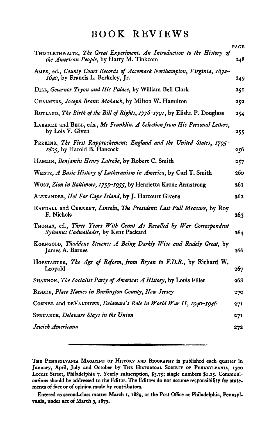### **BOOK REVIEWS**

|                                                                                                                     | <b>PAGE</b> |
|---------------------------------------------------------------------------------------------------------------------|-------------|
| THISTLETHWAITE, The Great Experiment. An Introduction to the History of<br>the American People, by Harry M. Tinkcom | 248         |
| AMES, ed., County Court Records of Accomack-Northampton, Virginia, 1632-<br>1640, by Francis L. Berkeley, Jr.       | 249         |
| DILL, Governor Tryon and His Palace, by William Bell Clark                                                          | 251         |
| CHALMERS, Joseph Brant: Mohawk, by Milton W. Hamilton                                                               | 252         |
| RUTLAND, The Birth of the Bill of Rights, 1776-1791, by Elisha P. Douglass                                          | 254         |
| LABAREE and BELL, eds., Mr Franklin. A Selection from His Personal Letters,<br>by Lois V. Given                     | 255         |
| PERKINS, The First Rapprochement: England and the United States, 1795–<br>1805, by Harold B. Hancock                | 256         |
| HAMLIN, Benjamin Henry Latrobe, by Robert C. Smith                                                                  | 257         |
| WENTZ, A Basic History of Lutheranism in America, by Carl T. Smith                                                  | 260         |
| Wusr, Zion in Baltimore, 1755-1955, by Henrietta Krone Armstrong                                                    | 261         |
| ALEXANDER, Ho! For Cape Island, by J. Harcourt Givens                                                               | 262         |
| RANDALL and CURRENT, Lincoln, The President: Last Full Measure, by Roy<br>F. Nichols                                | 263         |
| THOMAS, ed., Three Years With Grant As Recalled by War Correspondent<br>Sylvanus Cadwallader, by Kent Packard       | 264         |
| KORNGOLD, Thaddeus Stevens: A Being Darkly Wise and Rudely Great, by<br>James A. Barnes                             | 266         |
| HOFSTADTER, The Age of Reform, from Bryan to F.D.R., by Richard W.<br>Leopold                                       | 267         |
| SHANNON, The Socialist Party of America: A History, by Louis Filler                                                 | 268         |
| <b>BISBEE, Place Names in Burlington County, New Jersey</b>                                                         | 270         |
| CONNER and DEVALINGER, Delaware's Role in World War II, 1940-1946                                                   | 271         |
| <b>SPRUANCE, Delaware Stays in the Union</b>                                                                        | 271         |
| Jewish Americana                                                                                                    | 272         |
|                                                                                                                     |             |

**THE PENNSYLVANIA MAGAZINE OF HISTORY AND BIOGRAPHY is published each quarter in** January, April, July and October by THE HISTORICAL SOCIETY OF PENNSYLVANIA, 1300 Locust Street, Philadelphia 7. Yearly subscription, \$3.75; single numbers \$1.25. Communi**cations should be addressed to the Editor. The Editors do not assume responsibility for statements of fact or of opinion made by contributors.**

**Entered as second-class matter March 1, 1889, at the Post Office at Philadelphia, Pennsylvania, under act of March 3, 1879.**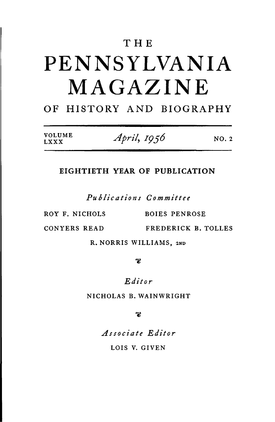### **THE**

## PENNSYLVANIA MAGAZINE

### **OF HISTORY AND BIOGRAPHY**

| VOLUME<br>LXXX | April, 1956 | NO. 2 |
|----------------|-------------|-------|
|----------------|-------------|-------|

#### **EIGHTIETH YEAR OF PUBLICATION**

*Publications Committee*

*LXXX*

ROY F. NICHOLS BOIES PENROSE

**CONYERS READ FREDERICK B. TOLLES**

**R. NORRIS WILLIAMS, 2ND**

တ္စ

*Editor*

**NICHOLAS B. WAINWRIGHT**

B

*Associate Editor* **LOIS V. GIVEN**